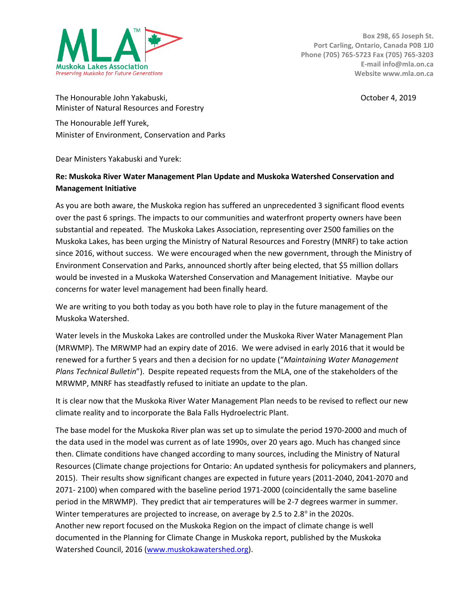

**Box 298, 65 Joseph St. Port Carling, Ontario, Canada P0B 1J0 Phone (705) 765-5723 Fax (705) 765-3203 E-mail info@mla.on.ca Website www.mla.on.ca**

The Honourable John Yakabuski, The Honourable John Yakabuski, October 4, 2019 Minister of Natural Resources and Forestry The Honourable Jeff Yurek, Minister of Environment, Conservation and Parks

Dear Ministers Yakabuski and Yurek:

## **Re: Muskoka River Water Management Plan Update and Muskoka Watershed Conservation and Management Initiative**

As you are both aware, the Muskoka region has suffered an unprecedented 3 significant flood events over the past 6 springs. The impacts to our communities and waterfront property owners have been substantial and repeated. The Muskoka Lakes Association, representing over 2500 families on the Muskoka Lakes, has been urging the Ministry of Natural Resources and Forestry (MNRF) to take action since 2016, without success. We were encouraged when the new government, through the Ministry of Environment Conservation and Parks, announced shortly after being elected, that \$5 million dollars would be invested in a Muskoka Watershed Conservation and Management Initiative. Maybe our concerns for water level management had been finally heard.

We are writing to you both today as you both have role to play in the future management of the Muskoka Watershed.

Water levels in the Muskoka Lakes are controlled under the Muskoka River Water Management Plan (MRWMP). The MRWMP had an expiry date of 2016. We were advised in early 2016 that it would be renewed for a further 5 years and then a decision for no update ("*[Maintaining Water Management](http://apps.mnr.gov.on.ca/public/files/er/lria-maintaining-wmps-technical-bulletin.pdf)  [Plans Technical Bulletin](http://apps.mnr.gov.on.ca/public/files/er/lria-maintaining-wmps-technical-bulletin.pdf)*"). Despite repeated requests from the MLA, one of the stakeholders of the MRWMP, MNRF has steadfastly refused to initiate an update to the plan.

It is clear now that the Muskoka River Water Management Plan needs to be revised to reflect our new climate reality and to incorporate the Bala Falls Hydroelectric Plant.

The base model for the Muskoka River plan was set up to simulate the period 1970-2000 and much of the data used in the model was current as of late 1990s, over 20 years ago. Much has changed since then. Climate conditions have changed according to many sources, including the Ministry of Natural Resources (Climate change projections for Ontario: An updated synthesis for policymakers and planners, 2015). Their results show significant changes are expected in future years (2011-2040, 2041-2070 and 2071- 2100) when compared with the baseline period 1971-2000 (coincidentally the same baseline period in the MRWMP). They predict that air temperatures will be 2-7 degrees warmer in summer. Winter temperatures are projected to increase, on average by 2.5 to 2.8 $^{\circ}$  in the 2020s. Another new report focused on the Muskoka Region on the impact of climate change is well documented in the Planning for Climate Change in Muskoka report, published by the Muskoka Watershed Council, 2016 [\(www.muskokawatershed.org\)](http://www.muskokawatershed.org/).